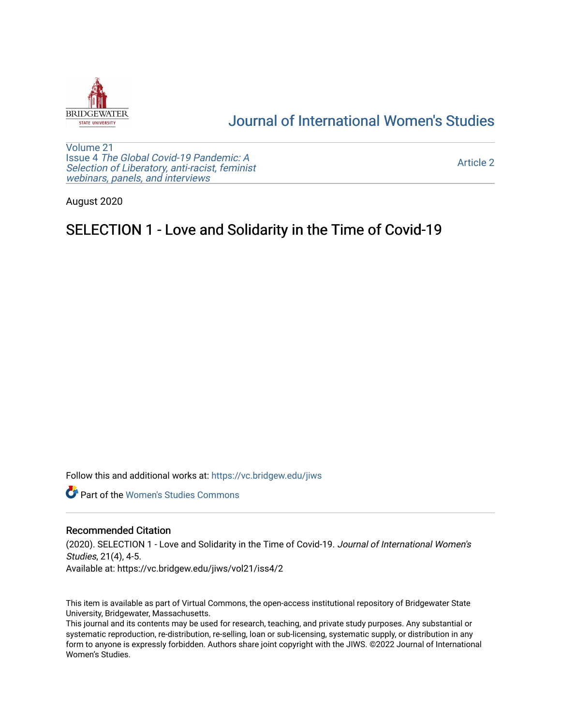

## [Journal of International Women's Studies](https://vc.bridgew.edu/jiws)

[Volume 21](https://vc.bridgew.edu/jiws/vol21) Issue 4 [The Global Covid-19 Pandemic: A](https://vc.bridgew.edu/jiws/vol21/iss4) [Selection of Liberatory, anti-racist, feminist](https://vc.bridgew.edu/jiws/vol21/iss4) [webinars, panels, and interviews](https://vc.bridgew.edu/jiws/vol21/iss4)

[Article 2](https://vc.bridgew.edu/jiws/vol21/iss4/2) 

August 2020

# SELECTION 1 - Love and Solidarity in the Time of Covid-19

Follow this and additional works at: [https://vc.bridgew.edu/jiws](https://vc.bridgew.edu/jiws?utm_source=vc.bridgew.edu%2Fjiws%2Fvol21%2Fiss4%2F2&utm_medium=PDF&utm_campaign=PDFCoverPages)

**C** Part of the Women's Studies Commons

#### Recommended Citation

(2020). SELECTION 1 - Love and Solidarity in the Time of Covid-19. Journal of International Women's Studies, 21(4), 4-5. Available at: https://vc.bridgew.edu/jiws/vol21/iss4/2

This item is available as part of Virtual Commons, the open-access institutional repository of Bridgewater State University, Bridgewater, Massachusetts.

This journal and its contents may be used for research, teaching, and private study purposes. Any substantial or systematic reproduction, re-distribution, re-selling, loan or sub-licensing, systematic supply, or distribution in any form to anyone is expressly forbidden. Authors share joint copyright with the JIWS. ©2022 Journal of International Women's Studies.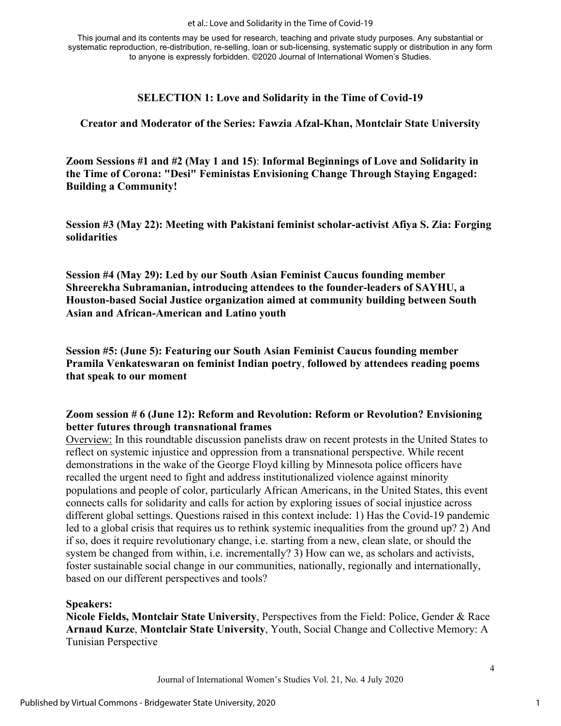This journal and its contents may be used for research, teaching and private study purposes. Any substantial or systematic reproduction, re-distribution, re-selling, loan or sub-licensing, systematic supply or distribution in any form to anyone is expressly forbidden. ©2020 Journal of International Women's Studies.

#### **SELECTION 1: Love and Solidarity in the Time of Covid-19**

#### **Creator and Moderator of the Series: Fawzia Afzal-Khan, Montclair State University**

**Zoom Sessions #1 and #2 (May 1 and 15)**: **Informal Beginnings of Love and Solidarity in the Time of Corona: "Desi" Feministas Envisioning Change Through Staying Engaged: Building a Community!**

**Session #3 (May 22): Meeting with Pakistani feminist scholar-activist Afiya S. Zia: Forging solidarities**

**Session #4 (May 29): Led by our South Asian Feminist Caucus founding member Shreerekha Subramanian, introducing attendees to the founder-leaders of SAYHU, a Houston-based Social Justice organization aimed at community building between South Asian and African-American and Latino youth** 

**Session #5: (June 5): Featuring our South Asian Feminist Caucus founding member Pramila Venkateswaran on feminist Indian poetry**, **followed by attendees reading poems that speak to our moment** 

#### **Zoom session # 6 (June 12): Reform and Revolution: Reform or Revolution? Envisioning better futures through transnational frames**

Overview: In this roundtable discussion panelists draw on recent protests in the United States to reflect on systemic injustice and oppression from a transnational perspective. While recent demonstrations in the wake of the George Floyd killing by Minnesota police officers have recalled the urgent need to fight and address institutionalized violence against minority populations and people of color, particularly African Americans, in the United States, this event connects calls for solidarity and calls for action by exploring issues of social injustice across different global settings. Questions raised in this context include: 1) Has the Covid-19 pandemic led to a global crisis that requires us to rethink systemic inequalities from the ground up? 2) And if so, does it require revolutionary change, i.e. starting from a new, clean slate, or should the system be changed from within, i.e. incrementally? 3) How can we, as scholars and activists, foster sustainable social change in our communities, nationally, regionally and internationally, based on our different perspectives and tools?

**Speakers:**

**Nicole Fields, Montclair State University**, Perspectives from the Field: Police, Gender & Race **Arnaud Kurze**, **Montclair State University**, Youth, Social Change and Collective Memory: A Tunisian Perspective

Journal of International Women's Studies Vol. 21, No. 4 July 2020

4